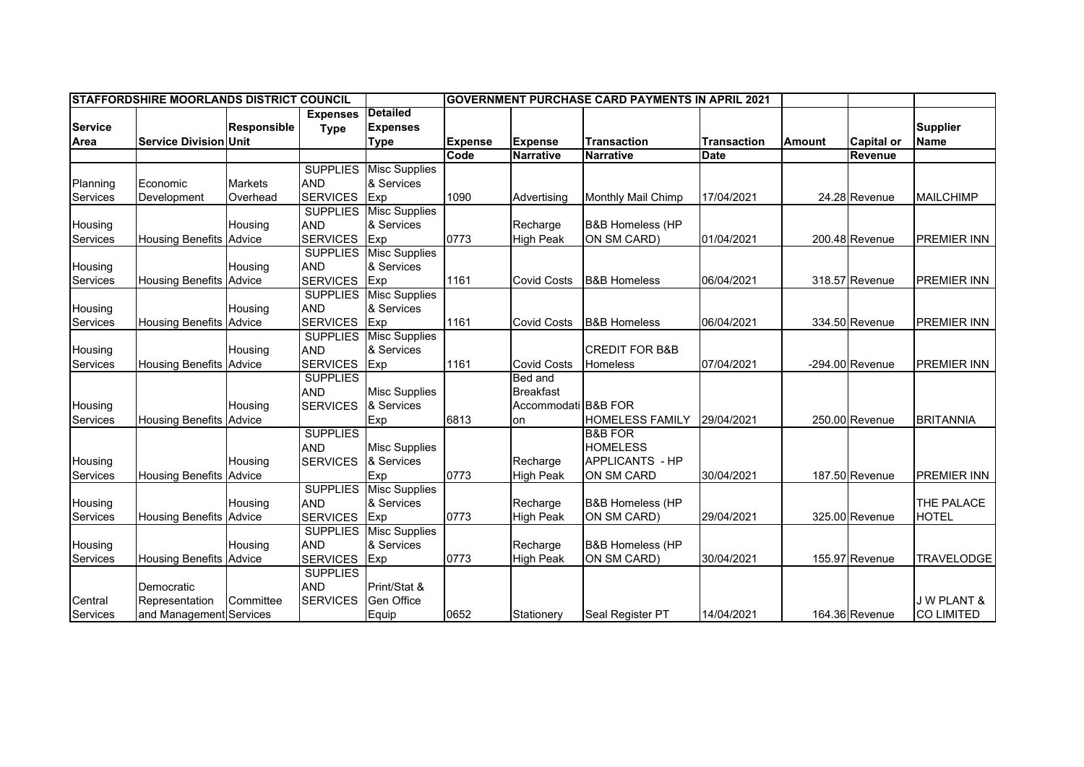| <b>STAFFORDSHIRE MOORLANDS DISTRICT COUNCIL</b> |                                |                    |                 |                               | <b>IGOVERNMENT PURCHASE CARD PAYMENTS IN APRIL 2021</b> |                     |                             |                    |               |                   |                       |
|-------------------------------------------------|--------------------------------|--------------------|-----------------|-------------------------------|---------------------------------------------------------|---------------------|-----------------------------|--------------------|---------------|-------------------|-----------------------|
|                                                 |                                |                    | <b>Expenses</b> | <b>Detailed</b>               |                                                         |                     |                             |                    |               |                   |                       |
| <b>Service</b>                                  |                                | <b>Responsible</b> | <b>Type</b>     | <b>Expenses</b>               |                                                         |                     |                             |                    |               |                   | <b>Supplier</b>       |
| Area                                            | <b>Service Division Unit</b>   |                    |                 | <b>Type</b>                   | <b>Expense</b>                                          | <b>Expense</b>      | <b>Transaction</b>          | <b>Transaction</b> | <b>Amount</b> | Capital or        | <b>Name</b>           |
|                                                 |                                |                    |                 |                               | Code                                                    | <b>Narrative</b>    | <b>Narrative</b>            | Date               |               | Revenue           |                       |
|                                                 |                                |                    | <b>SUPPLIES</b> | <b>Misc Supplies</b>          |                                                         |                     |                             |                    |               |                   |                       |
| Planning                                        | Economic                       | <b>Markets</b>     | <b>AND</b>      | & Services                    |                                                         |                     |                             |                    |               |                   |                       |
| Services                                        | Development                    | Overhead           | <b>SERVICES</b> | Exp                           | 1090                                                    | Advertising         | Monthly Mail Chimp          | 17/04/2021         |               | 24.28 Revenue     | <b>MAILCHIMP</b>      |
|                                                 |                                |                    |                 | <b>SUPPLIES</b> Misc Supplies |                                                         |                     |                             |                    |               |                   |                       |
| Housing                                         |                                | Housing            | <b>AND</b>      | & Services                    |                                                         | Recharge            | <b>B&amp;B Homeless (HP</b> |                    |               |                   |                       |
| Services                                        | <b>Housing Benefits Advice</b> |                    | <b>SERVICES</b> | Exp                           | 0773                                                    | <b>High Peak</b>    | ON SM CARD)                 | 01/04/2021         |               | 200.48 Revenue    | <b>PREMIER INN</b>    |
|                                                 |                                |                    |                 | <b>SUPPLIES</b> Misc Supplies |                                                         |                     |                             |                    |               |                   |                       |
| Housing                                         |                                | Housing            | <b>AND</b>      | & Services                    |                                                         |                     |                             |                    |               |                   |                       |
| Services                                        | <b>Housing Benefits Advice</b> |                    | <b>SERVICES</b> | Exp                           | 1161                                                    | <b>Covid Costs</b>  | <b>B&amp;B Homeless</b>     | 06/04/2021         |               | 318.57 Revenue    | <b>PREMIER INN</b>    |
|                                                 |                                |                    | <b>SUPPLIES</b> | <b>Misc Supplies</b>          |                                                         |                     |                             |                    |               |                   |                       |
| Housing                                         |                                | Housing            | <b>AND</b>      | & Services                    |                                                         |                     |                             |                    |               |                   |                       |
| Services                                        | <b>Housing Benefits</b>        | Advice             | <b>SERVICES</b> | Exp                           | 1161                                                    | <b>Covid Costs</b>  | <b>B&amp;B Homeless</b>     | 06/04/2021         |               | 334.50 Revenue    | <b>PREMIER INN</b>    |
|                                                 |                                |                    | <b>SUPPLIES</b> | <b>Misc Supplies</b>          |                                                         |                     |                             |                    |               |                   |                       |
| Housing                                         |                                | Housing            | <b>AND</b>      | & Services                    |                                                         |                     | <b>CREDIT FOR B&amp;B</b>   |                    |               |                   |                       |
| Services                                        | <b>Housing Benefits</b>        | Advice             | <b>SERVICES</b> | Exp                           | 1161                                                    | <b>Covid Costs</b>  | Homeless                    | 07/04/2021         |               | $-294.00$ Revenue | <b>PREMIER INN</b>    |
|                                                 |                                |                    | <b>SUPPLIES</b> |                               |                                                         | Bed and             |                             |                    |               |                   |                       |
|                                                 |                                |                    | <b>AND</b>      | <b>Misc Supplies</b>          |                                                         | <b>Breakfast</b>    |                             |                    |               |                   |                       |
| Housing                                         |                                | Housing            | <b>SERVICES</b> | & Services                    |                                                         | Accommodati B&B FOR |                             |                    |               |                   |                       |
| Services                                        | <b>Housing Benefits Advice</b> |                    |                 | Exp                           | 6813                                                    | on                  | <b>HOMELESS FAMILY</b>      | 29/04/2021         |               | 250.00 Revenue    | <b>BRITANNIA</b>      |
|                                                 |                                |                    | <b>SUPPLIES</b> |                               |                                                         |                     | <b>B&amp;B FOR</b>          |                    |               |                   |                       |
|                                                 |                                |                    | <b>AND</b>      | <b>Misc Supplies</b>          |                                                         |                     | <b>HOMELESS</b>             |                    |               |                   |                       |
| Housing                                         |                                | Housing            | <b>SERVICES</b> | & Services                    |                                                         | Recharge            | <b>APPLICANTS - HP</b>      |                    |               |                   |                       |
| Services                                        | Housing Benefits Advice        |                    |                 | Exp                           | 0773                                                    | <b>High Peak</b>    | ON SM CARD                  | 30/04/2021         |               | 187.50 Revenue    | <b>PREMIER INN</b>    |
|                                                 |                                |                    | <b>SUPPLIES</b> | <b>Misc Supplies</b>          |                                                         |                     |                             |                    |               |                   |                       |
| Housing                                         |                                | Housing            | <b>AND</b>      | & Services                    |                                                         | Recharge            | <b>B&amp;B Homeless (HP</b> |                    |               |                   | THE PALACE            |
| Services                                        | Housing Benefits Advice        |                    | <b>SERVICES</b> | Exp                           | 0773                                                    | <b>High Peak</b>    | ON SM CARD)                 | 29/04/2021         |               | 325.00 Revenue    | <b>HOTEL</b>          |
|                                                 |                                |                    | <b>SUPPLIES</b> | <b>Misc Supplies</b>          |                                                         |                     |                             |                    |               |                   |                       |
| Housing                                         |                                | Housing            | <b>AND</b>      | & Services                    |                                                         | Recharge            | <b>B&amp;B Homeless (HP</b> |                    |               |                   |                       |
| Services                                        | <b>Housing Benefits Advice</b> |                    | <b>SERVICES</b> | Exp                           | 0773                                                    | <b>High Peak</b>    | ON SM CARD)                 | 30/04/2021         |               | 155.97 Revenue    | <b>TRAVELODGE</b>     |
|                                                 |                                |                    | <b>SUPPLIES</b> |                               |                                                         |                     |                             |                    |               |                   |                       |
|                                                 | Democratic                     |                    | <b>AND</b>      | Print/Stat &                  |                                                         |                     |                             |                    |               |                   |                       |
| Central                                         | Representation                 | Committee          | <b>SERVICES</b> | Gen Office                    |                                                         |                     |                             |                    |               |                   | <b>JW PLANT &amp;</b> |
| Services                                        | and Management Services        |                    |                 | Equip                         | 0652                                                    | Stationery          | Seal Register PT            | 14/04/2021         |               | 164.36 Revenue    | <b>CO LIMITED</b>     |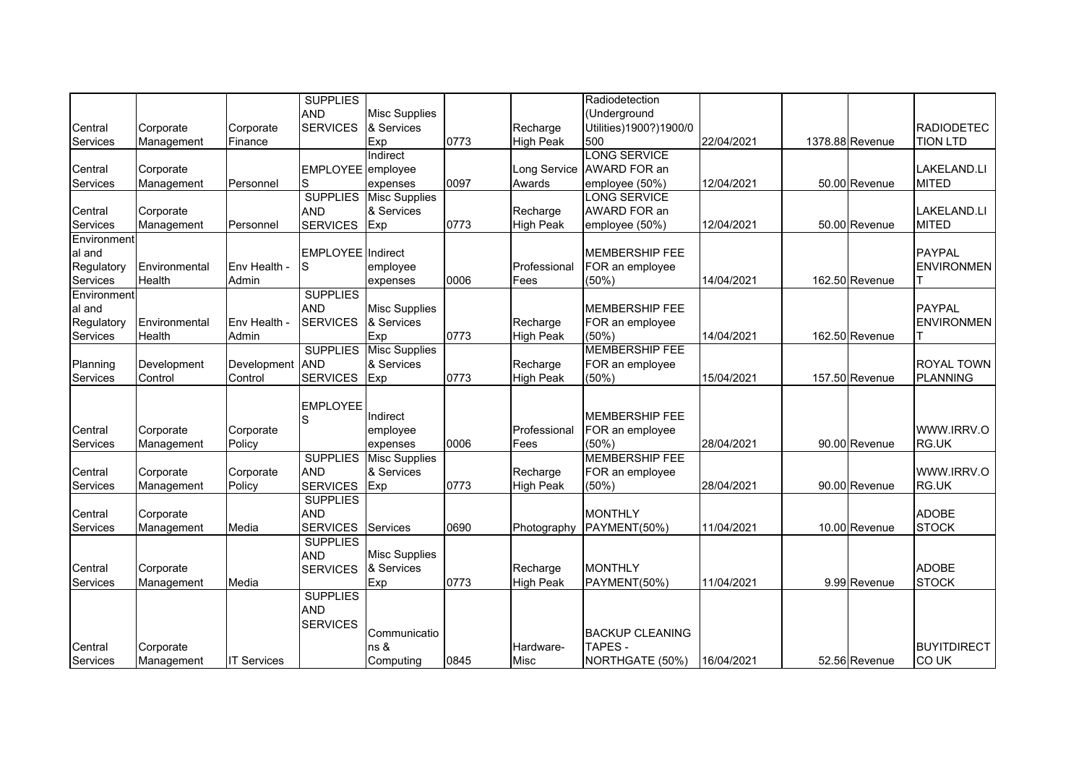| <b>AND</b><br><b>Misc Supplies</b><br>(Underground                                                                                |                               |
|-----------------------------------------------------------------------------------------------------------------------------------|-------------------------------|
|                                                                                                                                   |                               |
| <b>SERVICES</b><br>& Services<br>Recharge<br>Utilities)1900?)1900/0<br>Central<br>Corporate<br>Corporate                          | <b>RADIODETEC</b>             |
| 0773<br>Exp<br><b>High Peak</b><br>500<br>22/04/2021<br>1378.88 Revenue<br><b>Services</b><br>Management<br>Finance               | <b>TION LTD</b>               |
| <b>LONG SERVICE</b><br>Indirect                                                                                                   |                               |
| Long Service<br>AWARD FOR an<br>Central<br>Corporate<br>EMPLOYEE employee                                                         | <b>LAKELAND.LI</b>            |
| 0097<br>12/04/2021<br>Services<br>Personnel<br>Awards<br>employee (50%)<br>Management<br>S<br>expenses                            | 50.00 Revenue<br><b>MITED</b> |
| <b>SUPPLIES</b><br><b>LONG SERVICE</b><br><b>Misc Supplies</b>                                                                    |                               |
| <b>AND</b><br>& Services<br>AWARD FOR an<br>Central<br>Recharge<br>Corporate                                                      | <b>LAKELAND.LI</b>            |
| 0773<br>Services<br>Personnel<br>Management<br><b>SERVICES</b><br><b>High Peak</b><br>employee (50%)<br>12/04/2021<br>Exp         | <b>MITED</b><br>50.00 Revenue |
| Environment                                                                                                                       |                               |
| <b>MEMBERSHIP FEE</b><br>al and<br>EMPLOYEE Indirect                                                                              | <b>PAYPAL</b>                 |
| Regulatory<br>Environmental<br>Env Health -<br>Professional<br>FOR an employee<br>S<br>employee                                   | <b>ENVIRONMEN</b>             |
| Services<br>Health<br>Admin<br>0006<br>(50%)<br>14/04/2021<br>162.50 Revenue<br>Fees<br>expenses                                  |                               |
| <b>SUPPLIES</b><br>Environment                                                                                                    |                               |
| al and<br><b>AND</b><br><b>Misc Supplies</b><br><b>MEMBERSHIP FEE</b>                                                             | <b>PAYPAL</b>                 |
| Regulatory<br>Environmental<br>Env Health -<br><b>SERVICES</b><br>& Services<br>Recharge<br>FOR an employee                       | <b>ENVIRONMEN</b>             |
| Admin<br>0773<br>(50%)<br>Services<br>Health<br><b>High Peak</b><br>14/04/2021<br>162.50 Revenue<br>Exp                           |                               |
| <b>SUPPLIES</b><br><b>MEMBERSHIP FEE</b><br><b>Misc Supplies</b>                                                                  |                               |
| <b>AND</b><br>Development<br>Development<br>& Services<br>Recharge<br>FOR an employee<br>Planning                                 | <b>ROYAL TOWN</b>             |
| 0773<br>Control<br>Control<br><b>SERVICES</b><br><b>High Peak</b><br>157.50 Revenue<br>Services<br>(50%)<br>15/04/2021<br>Exp     | <b>PLANNING</b>               |
|                                                                                                                                   |                               |
| <b>EMPLOYEE</b>                                                                                                                   |                               |
| Indirect<br><b>MEMBERSHIP FEE</b><br>S                                                                                            |                               |
| Corporate<br>FOR an employee<br>Central<br>Corporate<br>employee<br>Professional                                                  | WWW.IRRV.O<br>RG.UK           |
| (50%)<br>Policy<br>0006<br>28/04/2021<br>Services<br>Management<br>Fees<br>expenses<br><b>MEMBERSHIP FEE</b>                      | 90.00 Revenue                 |
| <b>SUPPLIES</b><br><b>Misc Supplies</b>                                                                                           |                               |
| Central<br>Corporate<br><b>AND</b><br>& Services<br>Recharge<br>FOR an employee<br>Corporate                                      | WWW.IRRV.O                    |
| 0773<br><b>SERVICES</b><br>Services<br>Policy<br><b>High Peak</b><br>(50%)<br>28/04/2021<br>Management<br>Exp                     | 90.00 Revenue<br>RG.UK        |
| <b>SUPPLIES</b>                                                                                                                   |                               |
| <b>AND</b><br><b>MONTHLY</b><br>Central<br>Corporate                                                                              | <b>ADOBE</b>                  |
| 0690<br><b>SERVICES</b><br>PAYMENT(50%)<br>11/04/2021<br><b>Services</b><br>Media<br><b>Services</b><br>Management<br>Photography | <b>STOCK</b><br>10.00 Revenue |
| <b>SUPPLIES</b>                                                                                                                   |                               |
| <b>Misc Supplies</b><br><b>AND</b>                                                                                                | <b>ADOBE</b>                  |
| <b>MONTHLY</b><br>Central<br>Recharge<br>Corporate<br><b>SERVICES</b><br>& Services                                               |                               |
| 0773<br><b>High Peak</b><br>PAYMENT(50%)<br>Services<br>Media<br>Exp<br>11/04/2021<br>Management                                  | <b>STOCK</b><br>9.99 Revenue  |
| <b>SUPPLIES</b>                                                                                                                   |                               |
| <b>AND</b>                                                                                                                        |                               |
| <b>SERVICES</b><br><b>BACKUP CLEANING</b><br>Communicatio                                                                         |                               |
| ns &<br><b>TAPES-</b><br>Central<br>Corporate<br>Hardware-                                                                        | <b>BUYITDIRECT</b>            |
| <b>IT Services</b><br>Computing<br>0845<br>NORTHGATE (50%)<br>16/04/2021<br>Services<br>Management<br>Misc                        | <b>COUK</b><br>52.56 Revenue  |